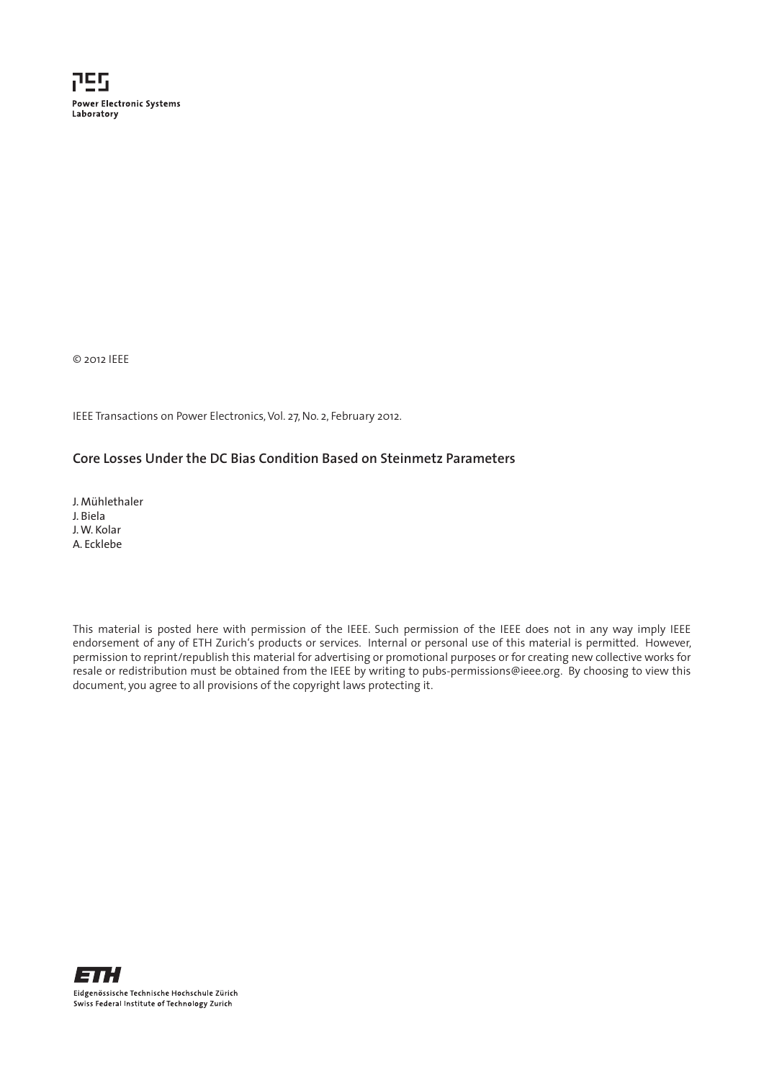© 2012 IEEE

IEEE Transactions on Power Electronics, Vol. 27, No. 2, February 2012.

# **Core Losses Under the DC Bias Condition Based on Steinmetz Parameters**

J. Mühlethaler J. Biela J. W. Kolar A. Ecklebe

This material is posted here with permission of the IEEE. Such permission of the IEEE does not in any way imply IEEE endorsement of any of ETH Zurich's products or services. Internal or personal use of this material is permitted. However, permission to reprint/republish this material for advertising or promotional purposes or for creating new collective works for resale or redistribution must be obtained from the IEEE by writing to pubs-permissions@ieee.org. By choosing to view this document, you agree to all provisions of the copyright laws protecting it.

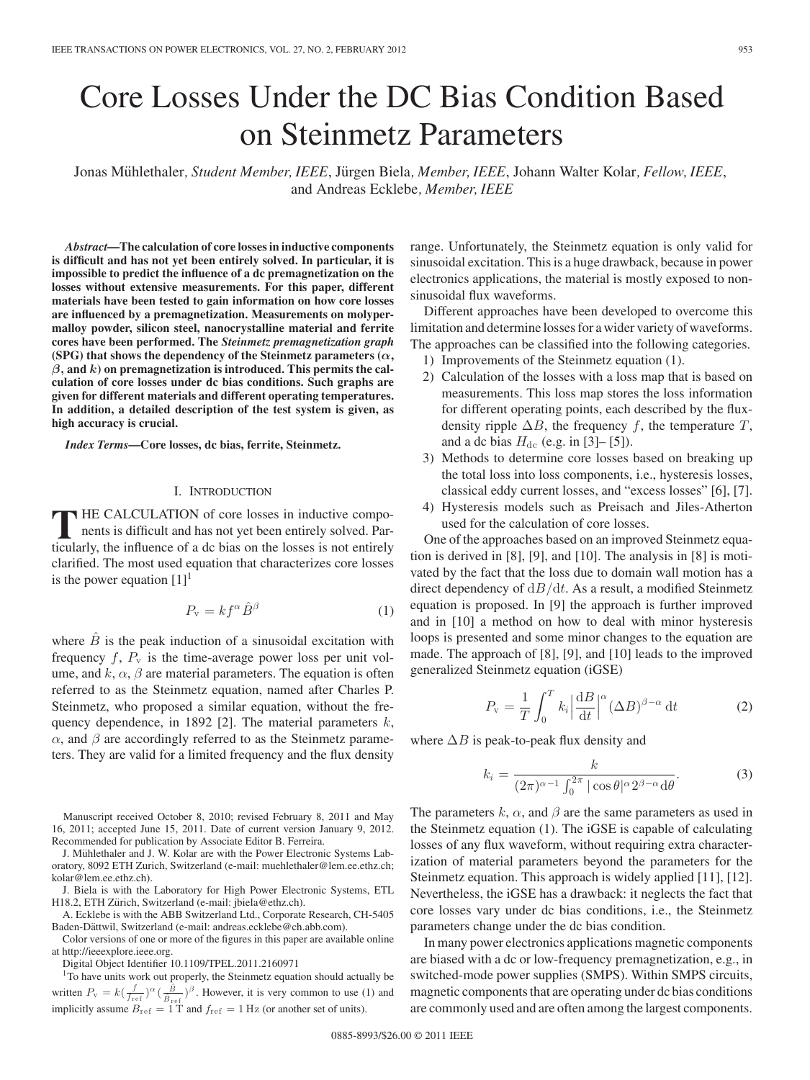# Core Losses Under the DC Bias Condition Based on Steinmetz Parameters

Jonas Mühlethaler, Student Member, IEEE, Jürgen Biela, Member, IEEE, Johann Walter Kolar, Fellow, IEEE, and Andreas Ecklebe*, Member, IEEE*

*Abstract***—The calculation of core losses in inductive components is difficult and has not yet been entirely solved. In particular, it is impossible to predict the influence of a dc premagnetization on the losses without extensive measurements. For this paper, different materials have been tested to gain information on how core losses are influenced by a premagnetization. Measurements on molypermalloy powder, silicon steel, nanocrystalline material and ferrite cores have been performed. The** *Steinmetz premagnetization graph* **(SPG) that shows the dependency of the Steinmetz parameters**  $(\alpha, \beta)$ *β,* **and** *k***) on premagnetization is introduced. This permits the calculation of core losses under dc bias conditions. Such graphs are given for different materials and different operating temperatures. In addition, a detailed description of the test system is given, as high accuracy is crucial.**

*Index Terms***—Core losses, dc bias, ferrite, Steinmetz.**

#### I. INTRODUCTION

**T** HE CALCULATION of core losses in inductive components is difficult and has not yet been entirely solved. Par-<br>ticularly the influence of a do bias on the losses is not entirely ticularly, the influence of a dc bias on the losses is not entirely clarified. The most used equation that characterizes core losses is the power equation  $[1]$ <sup>1</sup>

$$
P_{\rm v} = k f^{\alpha} \hat{B}^{\beta} \tag{1}
$$

where  $\hat{B}$  is the peak induction of a sinusoidal excitation with frequency  $f$ ,  $P_v$  is the time-average power loss per unit volume, and  $k, \alpha, \beta$  are material parameters. The equation is often referred to as the Steinmetz equation, named after Charles P. Steinmetz, who proposed a similar equation, without the frequency dependence, in 1892 [2]. The material parameters  $k$ ,  $\alpha$ , and  $\beta$  are accordingly referred to as the Steinmetz parameters. They are valid for a limited frequency and the flux density

Manuscript received October 8, 2010; revised February 8, 2011 and May 16, 2011; accepted June 15, 2011. Date of current version January 9, 2012. Recommended for publication by Associate Editor B. Ferreira.

J. Mühlethaler and J. W. Kolar are with the Power Electronic Systems Laboratory, 8092 ETH Zurich, Switzerland (e-mail: muehlethaler@lem.ee.ethz.ch; kolar@lem.ee.ethz.ch).

J. Biela is with the Laboratory for High Power Electronic Systems, ETL H18.2, ETH Zürich, Switzerland (e-mail: jbiela@ethz.ch).

A. Ecklebe is with the ABB Switzerland Ltd., Corporate Research, CH-5405 Baden-Dättwil, Switzerland (e-mail: andreas.ecklebe@ch.abb.com).

Color versions of one or more of the figures in this paper are available online at http://ieeexplore.ieee.org.

Digital Object Identifier 10.1109/TPEL.2011.2160971

<sup>1</sup>To have units work out properly, the Steinmetz equation should actually be written  $P_{\rm v} = k(\frac{f}{f_{\rm ref}})^{\alpha} (\frac{\hat{B}}{\hat{B}_{\rm ref}})^{\beta}$ . However, it is very common to use (1) and implicitly assume  $B_{\text{ref}} = 1 \text{ T}$  and  $f_{\text{ref}} = 1 \text{ Hz}$  (or another set of units).

range. Unfortunately, the Steinmetz equation is only valid for sinusoidal excitation. This is a huge drawback, because in power electronics applications, the material is mostly exposed to nonsinusoidal flux waveforms.

Different approaches have been developed to overcome this limitation and determine losses for a wider variety of waveforms. The approaches can be classified into the following categories.

- 1) Improvements of the Steinmetz equation (1).
- 2) Calculation of the losses with a loss map that is based on measurements. This loss map stores the loss information for different operating points, each described by the fluxdensity ripple  $\Delta B$ , the frequency f, the temperature T, and a dc bias  $H_{\text{dc}}$  (e.g. in [3]– [5]).
- 3) Methods to determine core losses based on breaking up the total loss into loss components, i.e., hysteresis losses, classical eddy current losses, and "excess losses" [6], [7].
- 4) Hysteresis models such as Preisach and Jiles-Atherton used for the calculation of core losses.

One of the approaches based on an improved Steinmetz equation is derived in [8], [9], and [10]. The analysis in [8] is motivated by the fact that the loss due to domain wall motion has a direct dependency of  $dB/dt$ . As a result, a modified Steinmetz equation is proposed. In [9] the approach is further improved and in [10] a method on how to deal with minor hysteresis loops is presented and some minor changes to the equation are made. The approach of [8], [9], and [10] leads to the improved generalized Steinmetz equation (iGSE)

$$
P_{\rm v} = \frac{1}{T} \int_0^T k_i \left| \frac{\mathrm{d}B}{\mathrm{d}t} \right|^\alpha (\Delta B)^{\beta - \alpha} \mathrm{d}t \tag{2}
$$

where  $\Delta B$  is peak-to-peak flux density and

$$
k_i = \frac{k}{(2\pi)^{\alpha - 1} \int_0^{2\pi} |\cos \theta|^{\alpha} 2^{\beta - \alpha} d\theta}.
$$
 (3)

The parameters k,  $\alpha$ , and  $\beta$  are the same parameters as used in the Steinmetz equation (1). The iGSE is capable of calculating losses of any flux waveform, without requiring extra characterization of material parameters beyond the parameters for the Steinmetz equation. This approach is widely applied [11], [12]. Nevertheless, the iGSE has a drawback: it neglects the fact that core losses vary under dc bias conditions, i.e., the Steinmetz parameters change under the dc bias condition.

In many power electronics applications magnetic components are biased with a dc or low-frequency premagnetization, e.g., in switched-mode power supplies (SMPS). Within SMPS circuits, magnetic components that are operating under dc bias conditions are commonly used and are often among the largest components.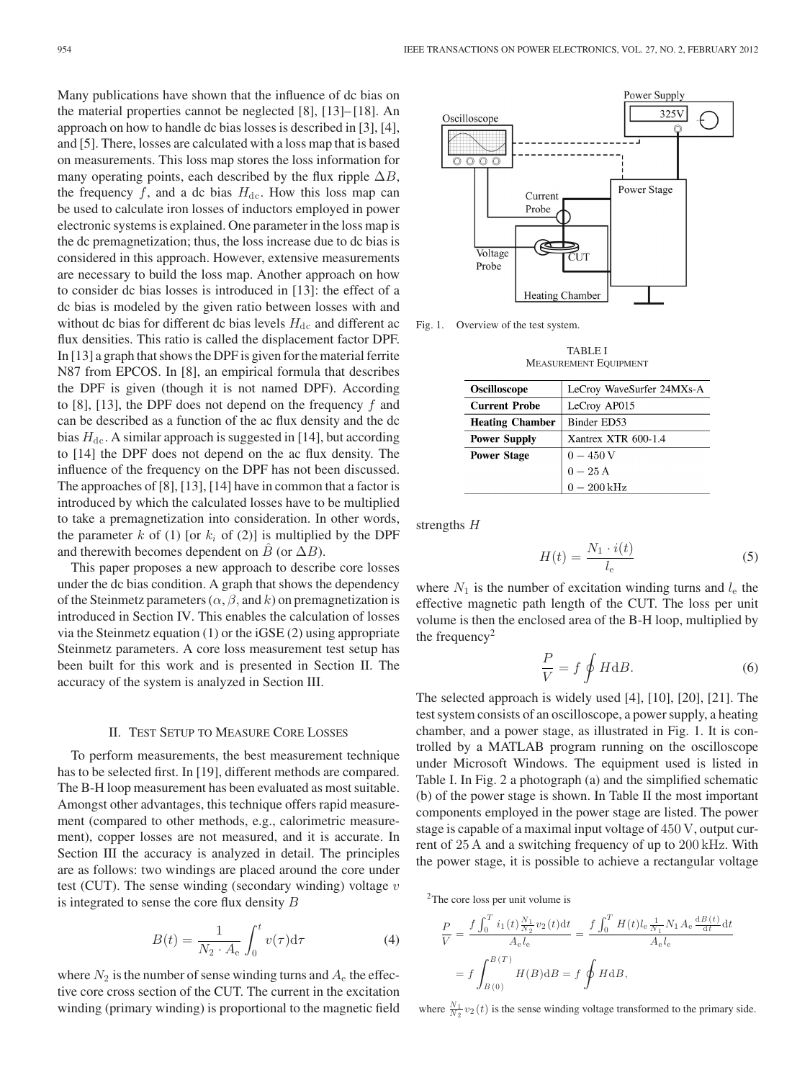Many publications have shown that the influence of dc bias on the material properties cannot be neglected [8], [13]– [18]. An approach on how to handle dc bias losses is described in [3], [4], and [5]. There, losses are calculated with a loss map that is based on measurements. This loss map stores the loss information for many operating points, each described by the flux ripple  $\Delta B$ , the frequency  $f$ , and a dc bias  $H_{dc}$ . How this loss map can be used to calculate iron losses of inductors employed in power electronic systems is explained. One parameter in the loss map is the dc premagnetization; thus, the loss increase due to dc bias is considered in this approach. However, extensive measurements are necessary to build the loss map. Another approach on how to consider dc bias losses is introduced in [13]: the effect of a dc bias is modeled by the given ratio between losses with and without dc bias for different dc bias levels  $H_{dc}$  and different ac flux densities. This ratio is called the displacement factor DPF. In [13] a graph that shows the DPF is given for the material ferrite N87 from EPCOS. In [8], an empirical formula that describes the DPF is given (though it is not named DPF). According to [8], [13], the DPF does not depend on the frequency  $f$  and can be described as a function of the ac flux density and the dc bias  $H_{\text{dc}}$ . A similar approach is suggested in [14], but according to [14] the DPF does not depend on the ac flux density. The influence of the frequency on the DPF has not been discussed. The approaches of [8], [13], [14] have in common that a factor is introduced by which the calculated losses have to be multiplied to take a premagnetization into consideration. In other words, the parameter k of (1) [or  $k_i$  of (2)] is multiplied by the DPF and therewith becomes dependent on  $\overline{B}$  (or  $\Delta B$ ).

This paper proposes a new approach to describe core losses under the dc bias condition. A graph that shows the dependency of the Steinmetz parameters ( $\alpha$ ,  $\beta$ , and k) on premagnetization is introduced in Section IV. This enables the calculation of losses via the Steinmetz equation (1) or the iGSE (2) using appropriate Steinmetz parameters. A core loss measurement test setup has been built for this work and is presented in Section II. The accuracy of the system is analyzed in Section III.

#### II. TEST SETUP TO MEASURE CORE LOSSES

To perform measurements, the best measurement technique has to be selected first. In [19], different methods are compared. The B-H loop measurement has been evaluated as most suitable. Amongst other advantages, this technique offers rapid measurement (compared to other methods, e.g., calorimetric measurement), copper losses are not measured, and it is accurate. In Section III the accuracy is analyzed in detail. The principles are as follows: two windings are placed around the core under test (CUT). The sense winding (secondary winding) voltage  $v$ is integrated to sense the core flux density  $B$ 

$$
B(t) = \frac{1}{N_2 \cdot A_e} \int_0^t v(\tau) d\tau
$$
 (4)

where  $N_2$  is the number of sense winding turns and  $A_e$  the effective core cross section of the CUT. The current in the excitation winding (primary winding) is proportional to the magnetic field



Fig. 1. Overview of the test system.

TABLE I MEASUREMENT EQUIPMENT

| <b>Oscilloscope</b>    | LeCroy WaveSurfer 24MXs-A |  |
|------------------------|---------------------------|--|
| <b>Current Probe</b>   | LeCroy AP015              |  |
| <b>Heating Chamber</b> | Binder ED53               |  |
| <b>Power Supply</b>    | Xantrex XTR 600-1.4       |  |
| <b>Power Stage</b>     | $0 - 450 V$               |  |
|                        | $0 - 25A$                 |  |
|                        | $0-200\,\mathrm{kHz}$     |  |

strengths H

$$
H(t) = \frac{N_1 \cdot i(t)}{l_e} \tag{5}
$$

where  $N_1$  is the number of excitation winding turns and  $l_e$  the effective magnetic path length of the CUT. The loss per unit volume is then the enclosed area of the B-H loop, multiplied by the frequency<sup>2</sup>

$$
\frac{P}{V} = f \oint H \, \mathrm{d}B. \tag{6}
$$

The selected approach is widely used [4], [10], [20], [21]. The test system consists of an oscilloscope, a power supply, a heating chamber, and a power stage, as illustrated in Fig. 1. It is controlled by a MATLAB program running on the oscilloscope under Microsoft Windows. The equipment used is listed in Table I. In Fig. 2 a photograph (a) and the simplified schematic (b) of the power stage is shown. In Table II the most important components employed in the power stage are listed. The power stage is capable of a maximal input voltage of 450V, output current of 25A and a switching frequency of up to 200kHz. With the power stage, it is possible to achieve a rectangular voltage

<sup>2</sup>The core loss per unit volume is

$$
\frac{P}{V} = \frac{f \int_0^T i_1(t) \frac{N_1}{N_2} v_2(t) dt}{A_e l_e} = \frac{f \int_0^T H(t) l_e \frac{1}{N_1} N_1 A_e \frac{d(t)}{dt} dt}{A_e l_e}
$$

$$
= f \int_{B(0)}^{B(T)} H(B) dB = f \oint H dB,
$$

where  $\frac{N_1}{N_2}v_2(t)$  is the sense winding voltage transformed to the primary side.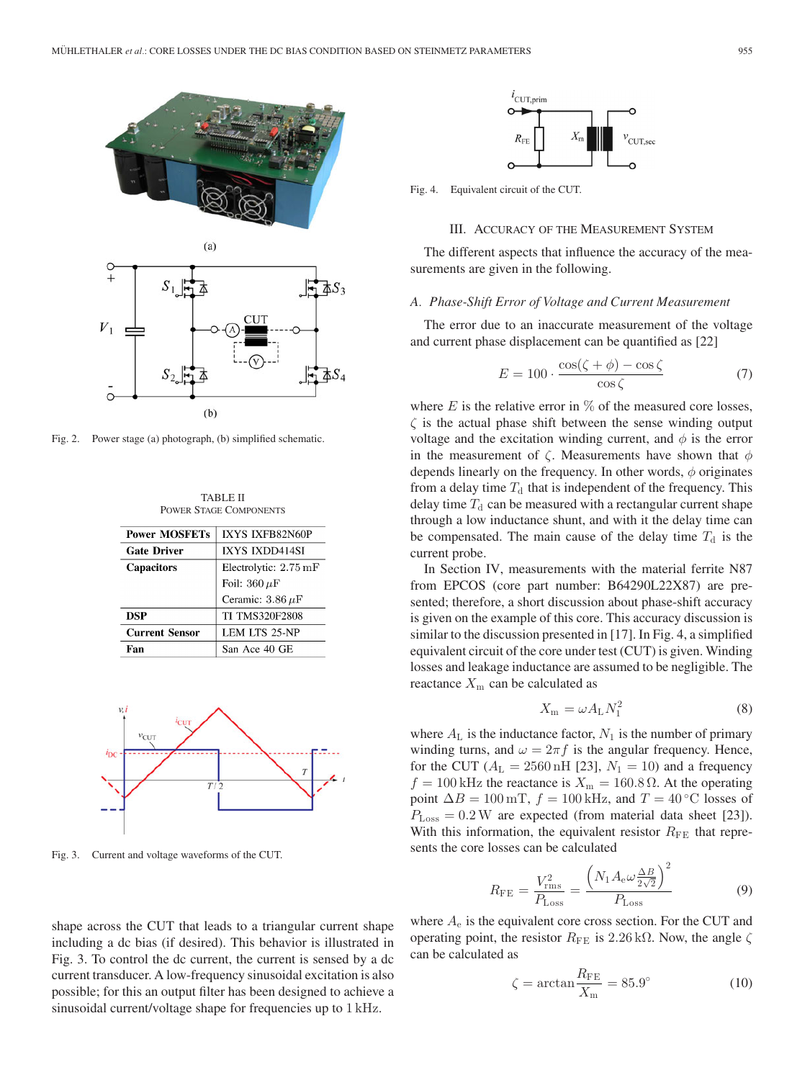

Fig. 2. Power stage (a) photograph, (b) simplified schematic.

TABLE II POWER STAGE COMPONENTS

| <b>Power MOSFETs</b>  | IXYS IXFB82N60P                  |  |
|-----------------------|----------------------------------|--|
| <b>Gate Driver</b>    | IXYS IXDD414SI                   |  |
| <b>Capacitors</b>     | Electrolytic: 2.75 mF            |  |
|                       | Foil: $360 \,\mu F$              |  |
|                       | Ceramic: $3.86 \,\mathrm{\mu F}$ |  |
| DSP                   | <b>TI TMS320F2808</b>            |  |
| <b>Current Sensor</b> | <b>LEM LTS 25-NP</b>             |  |
| Fan                   | San Ace 40 GE                    |  |



Fig. 3. Current and voltage waveforms of the CUT.

 $i_{\text{CUT,prim}}$ CUT, sec

Fig. 4. Equivalent circuit of the CUT.

#### III. ACCURACY OF THE MEASUREMENT SYSTEM

The different aspects that influence the accuracy of the measurements are given in the following.

#### *A. Phase-Shift Error of Voltage and Current Measurement*

The error due to an inaccurate measurement of the voltage and current phase displacement can be quantified as [22]

$$
E = 100 \cdot \frac{\cos(\zeta + \phi) - \cos\zeta}{\cos\zeta} \tag{7}
$$

where  $E$  is the relative error in  $\%$  of the measured core losses,  $\zeta$  is the actual phase shift between the sense winding output voltage and the excitation winding current, and  $\phi$  is the error in the measurement of  $\zeta$ . Measurements have shown that  $\phi$ depends linearly on the frequency. In other words,  $\phi$  originates from a delay time  $T<sub>d</sub>$  that is independent of the frequency. This delay time  $T_d$  can be measured with a rectangular current shape through a low inductance shunt, and with it the delay time can be compensated. The main cause of the delay time  $T<sub>d</sub>$  is the current probe.

In Section IV, measurements with the material ferrite N87 from EPCOS (core part number: B64290L22X87) are presented; therefore, a short discussion about phase-shift accuracy is given on the example of this core. This accuracy discussion is similar to the discussion presented in [17]. In Fig. 4, a simplified equivalent circuit of the core under test (CUT) is given. Winding losses and leakage inductance are assumed to be negligible. The reactance  $X_{\rm m}$  can be calculated as

$$
X_{\rm m} = \omega A_{\rm L} N_1^2 \tag{8}
$$

where  $A_L$  is the inductance factor,  $N_1$  is the number of primary winding turns, and  $\omega = 2\pi f$  is the angular frequency. Hence, for the CUT ( $A_{\text{L}} = 2560 \text{ nH}$  [23],  $N_1 = 10$ ) and a frequency  $f = 100$  kHz the reactance is  $X_{\text{m}} = 160.8 \Omega$ . At the operating point  $\Delta B = 100$  mT,  $f = 100$  kHz, and  $T = 40$  °C losses of  $P_{\text{Loss}} = 0.2 \text{W}$  are expected (from material data sheet [23]). With this information, the equivalent resistor  $R_{FE}$  that represents the core losses can be calculated

$$
R_{\rm FE} = \frac{V_{\rm rms}^2}{P_{\rm Loss}} = \frac{\left(N_1 A_{\rm e} \omega \frac{\Delta B}{2\sqrt{2}}\right)^2}{P_{\rm Loss}}\tag{9}
$$

shape across the CUT that leads to a triangular current shape including a dc bias (if desired). This behavior is illustrated in Fig. 3. To control the dc current, the current is sensed by a dc current transducer. A low-frequency sinusoidal excitation is also possible; for this an output filter has been designed to achieve a sinusoidal current/voltage shape for frequencies up to  $1 \text{ kHz}$ .

where  $A_e$  is the equivalent core cross section. For the CUT and operating point, the resistor  $R_{FE}$  is 2.26 kΩ. Now, the angle  $\zeta$ can be calculated as

$$
\zeta = \arctan \frac{R_{\text{FE}}}{X_{\text{m}}} = 85.9^{\circ} \tag{10}
$$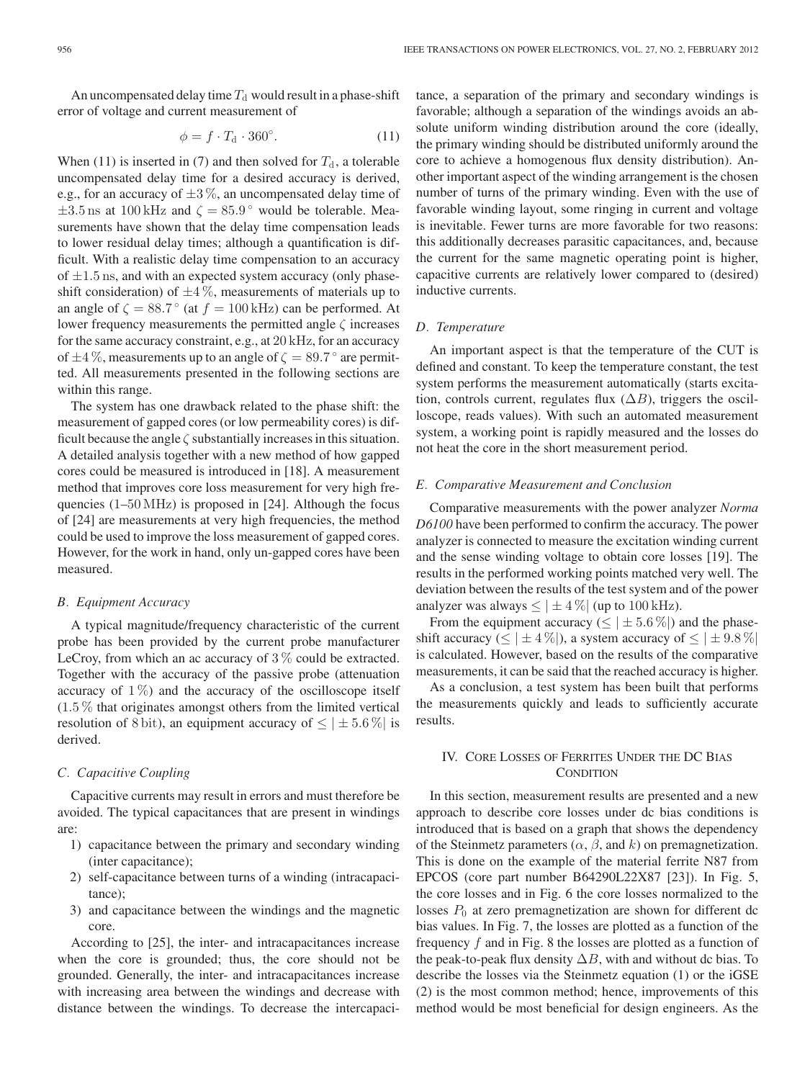An uncompensated delay time  $T_d$  would result in a phase-shift error of voltage and current measurement of

$$
\phi = f \cdot T_{\rm d} \cdot 360^{\circ}.\tag{11}
$$

When (11) is inserted in (7) and then solved for  $T<sub>d</sub>$ , a tolerable uncompensated delay time for a desired accuracy is derived, e.g., for an accuracy of  $\pm 3\%$ , an uncompensated delay time of  $\pm 3.5$  ns at 100 kHz and  $\zeta = 85.9$ ° would be tolerable. Measurements have shown that the delay time compensation leads to lower residual delay times; although a quantification is difficult. With a realistic delay time compensation to an accuracy of  $\pm 1.5$  ns, and with an expected system accuracy (only phaseshift consideration) of  $\pm 4\%$ , measurements of materials up to an angle of  $\zeta = 88.7^\circ$  (at  $f = 100 \text{ kHz}$ ) can be performed. At lower frequency measurements the permitted angle  $\zeta$  increases for the same accuracy constraint, e.g., at  $20 \text{ kHz}$ , for an accuracy of  $\pm 4\%$ , measurements up to an angle of  $\zeta = 89.7^\circ$  are permitted. All measurements presented in the following sections are within this range.

The system has one drawback related to the phase shift: the measurement of gapped cores (or low permeability cores) is difficult because the angle  $\zeta$  substantially increases in this situation. A detailed analysis together with a new method of how gapped cores could be measured is introduced in [18]. A measurement method that improves core loss measurement for very high frequencies  $(1-50 \text{ MHz})$  is proposed in [24]. Although the focus of [24] are measurements at very high frequencies, the method could be used to improve the loss measurement of gapped cores. However, for the work in hand, only un-gapped cores have been measured.

#### *B. Equipment Accuracy*

A typical magnitude/frequency characteristic of the current probe has been provided by the current probe manufacturer LeCroy, from which an ac accuracy of 3% could be extracted. Together with the accuracy of the passive probe (attenuation accuracy of  $1\%$ ) and the accuracy of the oscilloscope itself (1.5% that originates amongst others from the limited vertical resolution of 8 bit), an equipment accuracy of  $\leq$   $|\pm 5.6\%|$  is derived.

#### *C. Capacitive Coupling*

Capacitive currents may result in errors and must therefore be avoided. The typical capacitances that are present in windings are:

- 1) capacitance between the primary and secondary winding (inter capacitance);
- 2) self-capacitance between turns of a winding (intracapacitance);
- 3) and capacitance between the windings and the magnetic core.

According to [25], the inter- and intracapacitances increase when the core is grounded; thus, the core should not be grounded. Generally, the inter- and intracapacitances increase with increasing area between the windings and decrease with distance between the windings. To decrease the intercapacitance, a separation of the primary and secondary windings is favorable; although a separation of the windings avoids an absolute uniform winding distribution around the core (ideally, the primary winding should be distributed uniformly around the core to achieve a homogenous flux density distribution). Another important aspect of the winding arrangement is the chosen number of turns of the primary winding. Even with the use of favorable winding layout, some ringing in current and voltage is inevitable. Fewer turns are more favorable for two reasons: this additionally decreases parasitic capacitances, and, because the current for the same magnetic operating point is higher, capacitive currents are relatively lower compared to (desired) inductive currents.

#### *D. Temperature*

An important aspect is that the temperature of the CUT is defined and constant. To keep the temperature constant, the test system performs the measurement automatically (starts excitation, controls current, regulates flux  $(\Delta B)$ , triggers the oscilloscope, reads values). With such an automated measurement system, a working point is rapidly measured and the losses do not heat the core in the short measurement period.

#### *E. Comparative Measurement and Conclusion*

Comparative measurements with the power analyzer *Norma D6100* have been performed to confirm the accuracy. The power analyzer is connected to measure the excitation winding current and the sense winding voltage to obtain core losses [19]. The results in the performed working points matched very well. The deviation between the results of the test system and of the power analyzer was always  $\leq$   $|\pm 4\%|$  (up to 100 kHz).

From the equipment accuracy ( $\leq$  |  $\pm$  5.6%|) and the phaseshift accuracy ( $\leq$  |  $\pm$  4%|), a system accuracy of  $\leq$  |  $\pm$  9.8%| is calculated. However, based on the results of the comparative measurements, it can be said that the reached accuracy is higher.

As a conclusion, a test system has been built that performs the measurements quickly and leads to sufficiently accurate results.

## IV. CORE LOSSES OF FERRITES UNDER THE DC BIAS **CONDITION**

In this section, measurement results are presented and a new approach to describe core losses under dc bias conditions is introduced that is based on a graph that shows the dependency of the Steinmetz parameters  $(\alpha, \beta, \text{ and } k)$  on premagnetization. This is done on the example of the material ferrite N87 from EPCOS (core part number B64290L22X87 [23]). In Fig. 5, the core losses and in Fig. 6 the core losses normalized to the losses  $P_0$  at zero premagnetization are shown for different dc bias values. In Fig. 7, the losses are plotted as a function of the frequency  $f$  and in Fig. 8 the losses are plotted as a function of the peak-to-peak flux density  $\Delta B$ , with and without dc bias. To describe the losses via the Steinmetz equation (1) or the iGSE (2) is the most common method; hence, improvements of this method would be most beneficial for design engineers. As the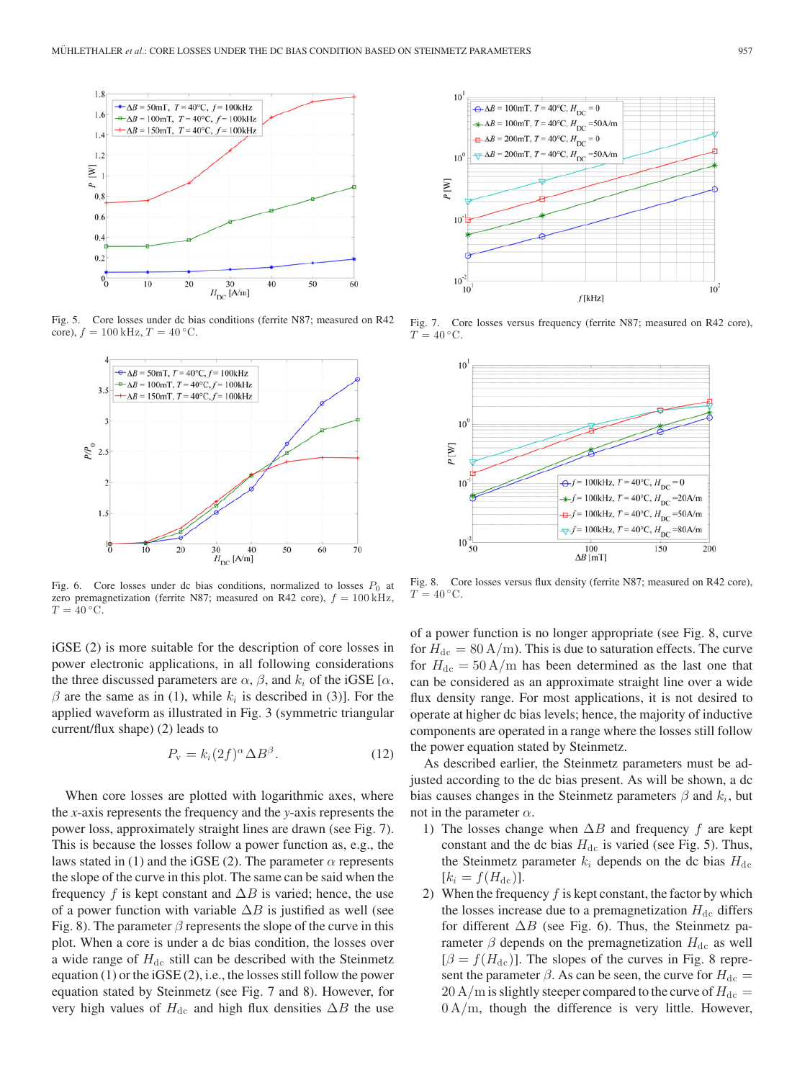

Fig. 5. Core losses under dc bias conditions (ferrite N87; measured on R42 core),  $f = 100 \text{ kHz}, T = 40 \degree \text{C}.$ 



Fig. 6. Core losses under dc bias conditions, normalized to losses  $P_0$  at zero premagnetization (ferrite N87; measured on R42 core),  $f = 100$  kHz,  $T = 40 °C$ .

iGSE (2) is more suitable for the description of core losses in power electronic applications, in all following considerations the three discussed parameters are  $\alpha$ ,  $\beta$ , and  $k_i$  of the iGSE [ $\alpha$ ,  $\beta$  are the same as in (1), while  $k_i$  is described in (3)]. For the applied waveform as illustrated in Fig. 3 (symmetric triangular current/flux shape) (2) leads to

$$
P_{\rm v} = k_i (2f)^{\alpha} \Delta B^{\beta}.
$$
 (12)

When core losses are plotted with logarithmic axes, where the *x*-axis represents the frequency and the *y*-axis represents the power loss, approximately straight lines are drawn (see Fig. 7). This is because the losses follow a power function as, e.g., the laws stated in (1) and the iGSE (2). The parameter  $\alpha$  represents the slope of the curve in this plot. The same can be said when the frequency f is kept constant and  $\Delta B$  is varied; hence, the use of a power function with variable  $\Delta B$  is justified as well (see Fig. 8). The parameter  $\beta$  represents the slope of the curve in this plot. When a core is under a dc bias condition, the losses over a wide range of  $H_{dc}$  still can be described with the Steinmetz equation (1) or the iGSE (2), i.e., the losses still follow the power equation stated by Steinmetz (see Fig. 7 and 8). However, for very high values of  $H_{dc}$  and high flux densities  $\Delta B$  the use



Fig. 7. Core losses versus frequency (ferrite N87; measured on R42 core),  $\overline{T} = 40 \degree C$ .



Fig. 8. Core losses versus flux density (ferrite N87; measured on R42 core),  $T = 40 °C$ .

of a power function is no longer appropriate (see Fig. 8, curve for  $H_{\text{dc}} = 80 \text{ A/m}$ . This is due to saturation effects. The curve for  $H_{\text{dc}} = 50 \text{ A/m}$  has been determined as the last one that can be considered as an approximate straight line over a wide flux density range. For most applications, it is not desired to operate at higher dc bias levels; hence, the majority of inductive components are operated in a range where the losses still follow the power equation stated by Steinmetz.

As described earlier, the Steinmetz parameters must be adjusted according to the dc bias present. As will be shown, a dc bias causes changes in the Steinmetz parameters  $\beta$  and  $k_i$ , but not in the parameter  $\alpha$ .

- 1) The losses change when  $\Delta B$  and frequency f are kept constant and the dc bias  $H_{dc}$  is varied (see Fig. 5). Thus, the Steinmetz parameter  $k_i$  depends on the dc bias  $H_{dc}$  $[k_i = f(H_{\text{dc}})].$
- 2) When the frequency  $f$  is kept constant, the factor by which the losses increase due to a premagnetization  $H_{dc}$  differs for different  $\Delta B$  (see Fig. 6). Thus, the Steinmetz parameter  $\beta$  depends on the premagnetization  $H_{dc}$  as well  $[\beta = f(H_{\text{dc}})]$ . The slopes of the curves in Fig. 8 represent the parameter  $\beta$ . As can be seen, the curve for  $H_{\text{dc}} =$  $20 \text{ A/m}$  is slightly steeper compared to the curve of  $H_{\text{dc}} =$  $0 \text{ A/m}$ , though the difference is very little. However,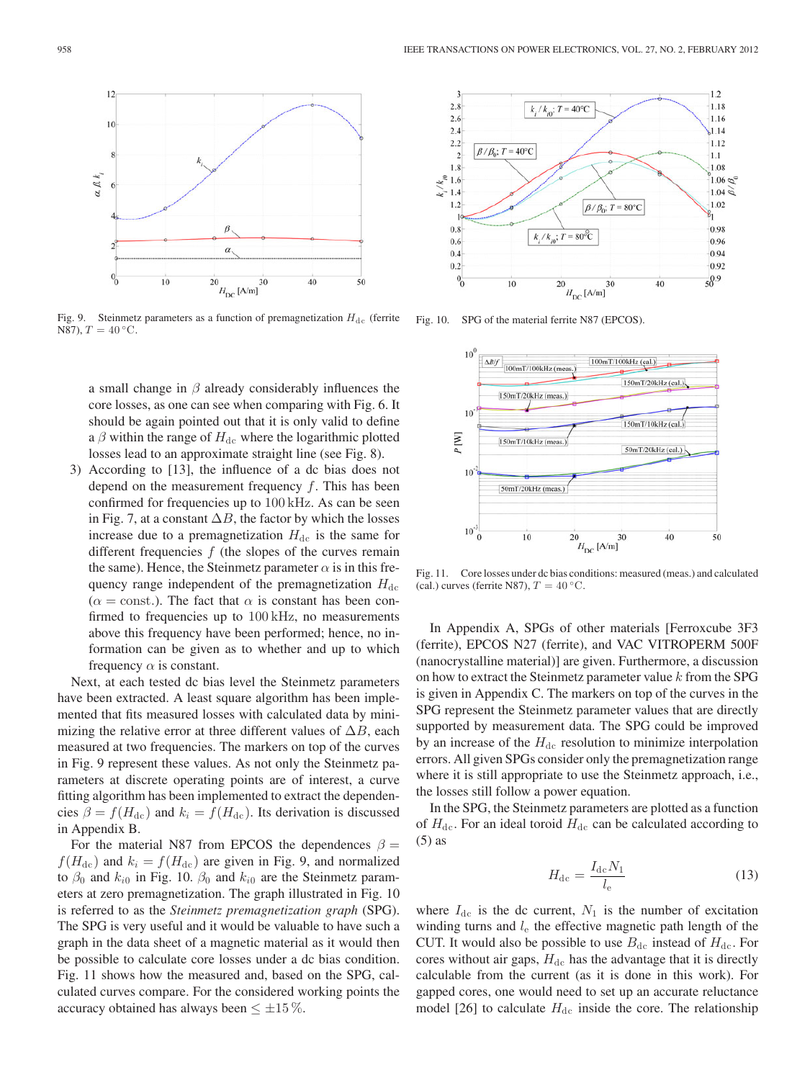

Fig. 9. Steinmetz parameters as a function of premagnetization  $H_{dc}$  (ferrite N87),  $T = 40 °C$ .

a small change in  $\beta$  already considerably influences the core losses, as one can see when comparing with Fig. 6. It should be again pointed out that it is only valid to define a  $\beta$  within the range of  $H_{dc}$  where the logarithmic plotted losses lead to an approximate straight line (see Fig. 8).

3) According to [13], the influence of a dc bias does not depend on the measurement frequency  $f$ . This has been confirmed for frequencies up to 100kHz. As can be seen in Fig. 7, at a constant  $\Delta B$ , the factor by which the losses increase due to a premagnetization  $H_{dc}$  is the same for different frequencies  $f$  (the slopes of the curves remain the same). Hence, the Steinmetz parameter  $\alpha$  is in this frequency range independent of the premagnetization  $H_{dc}$  $(\alpha = \text{const.})$ . The fact that  $\alpha$  is constant has been confirmed to frequencies up to 100kHz, no measurements above this frequency have been performed; hence, no information can be given as to whether and up to which frequency  $\alpha$  is constant.

Next, at each tested dc bias level the Steinmetz parameters have been extracted. A least square algorithm has been implemented that fits measured losses with calculated data by minimizing the relative error at three different values of  $\Delta B$ , each measured at two frequencies. The markers on top of the curves in Fig. 9 represent these values. As not only the Steinmetz parameters at discrete operating points are of interest, a curve fitting algorithm has been implemented to extract the dependencies  $\beta = f(H_{\text{dc}})$  and  $k_i = f(H_{\text{dc}})$ . Its derivation is discussed in Appendix B.

For the material N87 from EPCOS the dependences  $\beta =$  $f(H_{\text{dc}})$  and  $k_i = f(H_{\text{dc}})$  are given in Fig. 9, and normalized to  $\beta_0$  and  $k_{i0}$  in Fig. 10.  $\beta_0$  and  $k_{i0}$  are the Steinmetz parameters at zero premagnetization. The graph illustrated in Fig. 10 is referred to as the *Steinmetz premagnetization graph* (SPG). The SPG is very useful and it would be valuable to have such a graph in the data sheet of a magnetic material as it would then be possible to calculate core losses under a dc bias condition. Fig. 11 shows how the measured and, based on the SPG, calculated curves compare. For the considered working points the accuracy obtained has always been  $\leq \pm 15\%$ .



Fig. 10. SPG of the material ferrite N87 (EPCOS).



Fig. 11. Core losses under dc bias conditions: measured (meas.) and calculated (cal.) curves (ferrite N87),  $T = 40 °C$ .

In Appendix A, SPGs of other materials [Ferroxcube 3F3 (ferrite), EPCOS N27 (ferrite), and VAC VITROPERM 500F (nanocrystalline material)] are given. Furthermore, a discussion on how to extract the Steinmetz parameter value  $k$  from the SPG is given in Appendix C. The markers on top of the curves in the SPG represent the Steinmetz parameter values that are directly supported by measurement data. The SPG could be improved by an increase of the  $H_{dc}$  resolution to minimize interpolation errors. All given SPGs consider only the premagnetization range where it is still appropriate to use the Steinmetz approach, i.e., the losses still follow a power equation.

In the SPG, the Steinmetz parameters are plotted as a function of  $H_{\text{dc}}$ . For an ideal toroid  $H_{\text{dc}}$  can be calculated according to (5) as

$$
H_{\rm dc} = \frac{I_{\rm dc} N_1}{l_{\rm e}}\tag{13}
$$

where  $I_{\text{dc}}$  is the dc current,  $N_1$  is the number of excitation winding turns and  $l_e$  the effective magnetic path length of the CUT. It would also be possible to use  $B_{dc}$  instead of  $H_{dc}$ . For cores without air gaps,  $H_{dc}$  has the advantage that it is directly calculable from the current (as it is done in this work). For gapped cores, one would need to set up an accurate reluctance model [26] to calculate  $H_{dc}$  inside the core. The relationship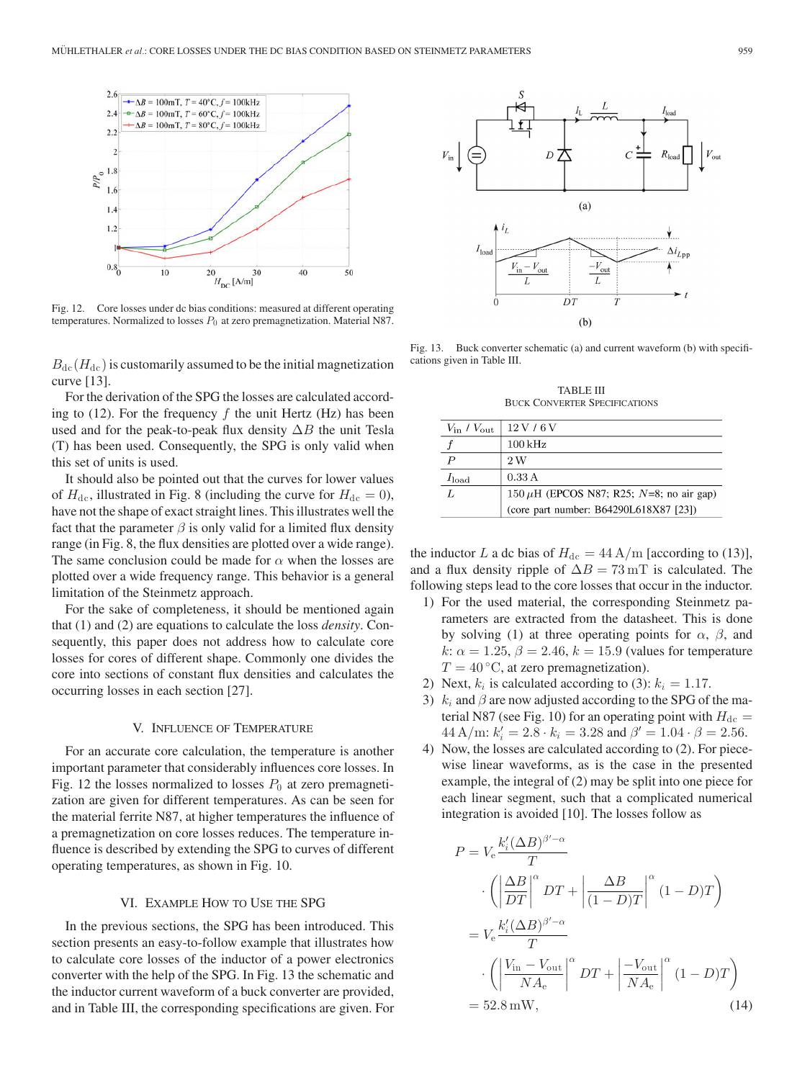

Fig. 12. Core losses under dc bias conditions: measured at different operating temperatures. Normalized to losses  $P_0$  at zero premagnetization. Material N87.

 $B_{\text{dc}}(H_{\text{dc}})$  is customarily assumed to be the initial magnetization curve [13].

For the derivation of the SPG the losses are calculated according to (12). For the frequency  $f$  the unit Hertz (Hz) has been used and for the peak-to-peak flux density  $\Delta B$  the unit Tesla (T) has been used. Consequently, the SPG is only valid when this set of units is used.

It should also be pointed out that the curves for lower values of  $H_{\text{dc}}$ , illustrated in Fig. 8 (including the curve for  $H_{\text{dc}} = 0$ ), have not the shape of exact straight lines. This illustrates well the fact that the parameter  $\beta$  is only valid for a limited flux density range (in Fig. 8, the flux densities are plotted over a wide range). The same conclusion could be made for  $\alpha$  when the losses are plotted over a wide frequency range. This behavior is a general limitation of the Steinmetz approach.

For the sake of completeness, it should be mentioned again that (1) and (2) are equations to calculate the loss *density*. Consequently, this paper does not address how to calculate core losses for cores of different shape. Commonly one divides the core into sections of constant flux densities and calculates the occurring losses in each section [27].

#### V. INFLUENCE OF TEMPERATURE

For an accurate core calculation, the temperature is another important parameter that considerably influences core losses. In Fig. 12 the losses normalized to losses  $P_0$  at zero premagnetization are given for different temperatures. As can be seen for the material ferrite N87, at higher temperatures the influence of a premagnetization on core losses reduces. The temperature influence is described by extending the SPG to curves of different operating temperatures, as shown in Fig. 10.

#### VI. EXAMPLE HOW TO USE THE SPG

In the previous sections, the SPG has been introduced. This section presents an easy-to-follow example that illustrates how to calculate core losses of the inductor of a power electronics converter with the help of the SPG. In Fig. 13 the schematic and the inductor current waveform of a buck converter are provided, and in Table III, the corresponding specifications are given. For



Fig. 13. Buck converter schematic (a) and current waveform (b) with specifications given in Table III.

TABLE III BUCK CONVERTER SPECIFICATIONS

| $V_{\rm in}$ / $V_{\rm out}$ | 12V/6V                                          |
|------------------------------|-------------------------------------------------|
|                              | $100\,\mathrm{kHz}$                             |
| $\overline{P}$               | 2W                                              |
| $I_{\rm load}$               | 0.33A                                           |
| $\overline{L}$               | $150 \,\mu$ H (EPCOS N87; R25; N=8; no air gap) |
|                              | (core part number: B64290L618X87 [23])          |

the inductor L a dc bias of  $H_{\text{dc}} = 44 \text{ A/m}$  [according to (13)], and a flux density ripple of  $\Delta B = 73$  mT is calculated. The following steps lead to the core losses that occur in the inductor.

- 1) For the used material, the corresponding Steinmetz parameters are extracted from the datasheet. This is done by solving (1) at three operating points for  $\alpha$ ,  $\beta$ , and k:  $\alpha = 1.25$ ,  $\beta = 2.46$ ,  $k = 15.9$  (values for temperature  $T = 40$  °C, at zero premagnetization).
- 2) Next,  $k_i$  is calculated according to (3):  $k_i = 1.17$ .
- 3)  $k_i$  and  $\beta$  are now adjusted according to the SPG of the material N87 (see Fig. 10) for an operating point with  $H_{dc} =$  $44 \text{ A/m: } k'_i = 2.8 \cdot k_i = 3.28 \text{ and } \beta' = 1.04 \cdot \beta = 2.56.$
- 4) Now, the losses are calculated according to (2). For piecewise linear waveforms, as is the case in the presented example, the integral of (2) may be split into one piece for each linear segment, such that a complicated numerical integration is avoided [10]. The losses follow as

$$
P = V_{e} \frac{k'_{i} (\Delta B)^{\beta' - \alpha}}{T}
$$
  
\n
$$
\cdot \left( \left| \frac{\Delta B}{DT} \right|^{\alpha} DT + \left| \frac{\Delta B}{(1 - D)T} \right|^{\alpha} (1 - D)T \right)
$$
  
\n
$$
= V_{e} \frac{k'_{i} (\Delta B)^{\beta' - \alpha}}{T}
$$
  
\n
$$
\cdot \left( \left| \frac{V_{in} - V_{out}}{NA_{e}} \right|^{\alpha} DT + \left| \frac{-V_{out}}{NA_{e}} \right|^{\alpha} (1 - D)T \right)
$$
  
\n= 52.8 mW, (14)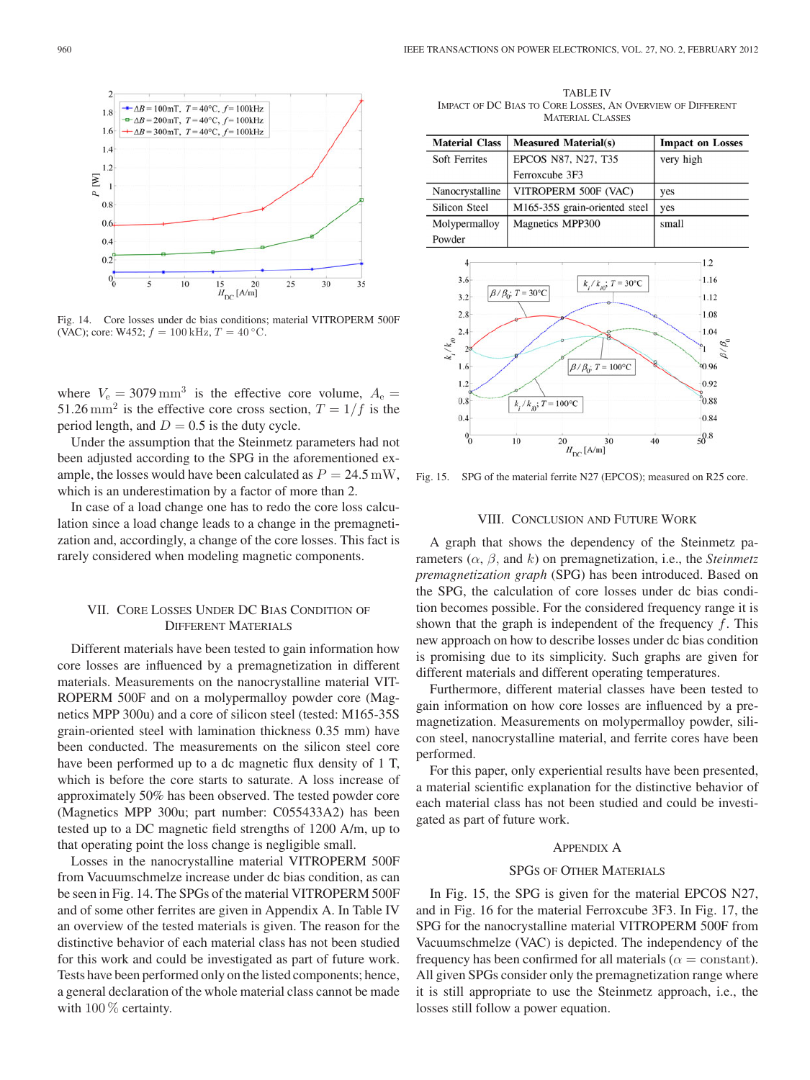

Fig. 14. Core losses under dc bias conditions; material VITROPERM 500F (VAC); core: W452;  $f = 100$  kHz,  $T = 40$  °C.

where  $V_e = 3079 \text{ mm}^3$  is the effective core volume,  $A_e =$ 51.26 mm<sup>2</sup> is the effective core cross section,  $T = 1/f$  is the period length, and  $D = 0.5$  is the duty cycle.

Under the assumption that the Steinmetz parameters had not been adjusted according to the SPG in the aforementioned example, the losses would have been calculated as  $P = 24.5$  mW, which is an underestimation by a factor of more than 2.

In case of a load change one has to redo the core loss calculation since a load change leads to a change in the premagnetization and, accordingly, a change of the core losses. This fact is rarely considered when modeling magnetic components.

### VII. CORE LOSSES UNDER DC BIAS CONDITION OF DIFFERENT MATERIALS

Different materials have been tested to gain information how core losses are influenced by a premagnetization in different materials. Measurements on the nanocrystalline material VIT-ROPERM 500F and on a molypermalloy powder core (Magnetics MPP 300u) and a core of silicon steel (tested: M165-35S grain-oriented steel with lamination thickness 0.35 mm) have been conducted. The measurements on the silicon steel core have been performed up to a dc magnetic flux density of 1 T, which is before the core starts to saturate. A loss increase of approximately 50% has been observed. The tested powder core (Magnetics MPP 300u; part number: C055433A2) has been tested up to a DC magnetic field strengths of 1200 A/m, up to that operating point the loss change is negligible small.

Losses in the nanocrystalline material VITROPERM 500F from Vacuumschmelze increase under dc bias condition, as can be seen in Fig. 14. The SPGs of the material VITROPERM 500F and of some other ferrites are given in Appendix A. In Table IV an overview of the tested materials is given. The reason for the distinctive behavior of each material class has not been studied for this work and could be investigated as part of future work. Tests have been performed only on the listed components; hence, a general declaration of the whole material class cannot be made with  $100\%$  certainty.

TABLE IV IMPACT OF DC BIAS TO CORE LOSSES, AN OVERVIEW OF DIFFERENT MATERIAL CLASSES

| <b>Material Class</b>                                                                                      | <b>Measured Material(s)</b>                                                                                                                                     | <b>Impact on Losses</b>                                                                        |
|------------------------------------------------------------------------------------------------------------|-----------------------------------------------------------------------------------------------------------------------------------------------------------------|------------------------------------------------------------------------------------------------|
| <b>Soft Ferrites</b>                                                                                       | EPCOS N87, N27, T35                                                                                                                                             | very high                                                                                      |
|                                                                                                            | Ferroxcube 3F3                                                                                                                                                  |                                                                                                |
| Nanocrystalline                                                                                            | VITROPERM 500F (VAC)                                                                                                                                            | yes                                                                                            |
| Silicon Steel                                                                                              | M165-35S grain-oriented steel                                                                                                                                   | yes                                                                                            |
| Molypermalloy                                                                                              | <b>Magnetics MPP300</b>                                                                                                                                         | small                                                                                          |
| Powder                                                                                                     |                                                                                                                                                                 |                                                                                                |
| 4<br>3.6<br>3.2<br>2.8<br>2.4<br>$k_i/k_{i0}$<br>2 <sup>5</sup><br>1.6<br>1.2<br>0.8<br>0.4<br>$0^\circ_0$ | $k_i / k_{i0}$ ; T = 30°C<br>$\beta/\beta_0$ ; T = 30°C<br>$\beta/\beta_0$ ; T = 100°C<br>$k_{i}/k_{i0}$ ; $T = 100$ °C<br>10<br>20<br>30<br>$H_{\rm DC}$ [A/m] | 1.2<br>1.16<br>1.12<br>1.08<br>1.04<br>0.96<br>0.92<br>$\frac{8}{10.88}$<br>0.84<br>50.8<br>40 |

Fig. 15. SPG of the material ferrite N27 (EPCOS); measured on R25 core.

#### VIII. CONCLUSION AND FUTURE WORK

A graph that shows the dependency of the Steinmetz parameters  $(\alpha, \beta, \text{ and } k)$  on premagnetization, i.e., the *Steinmetz premagnetization graph* (SPG) has been introduced. Based on the SPG, the calculation of core losses under dc bias condition becomes possible. For the considered frequency range it is shown that the graph is independent of the frequency  $f$ . This new approach on how to describe losses under dc bias condition is promising due to its simplicity. Such graphs are given for different materials and different operating temperatures.

Furthermore, different material classes have been tested to gain information on how core losses are influenced by a premagnetization. Measurements on molypermalloy powder, silicon steel, nanocrystalline material, and ferrite cores have been performed.

For this paper, only experiential results have been presented, a material scientific explanation for the distinctive behavior of each material class has not been studied and could be investigated as part of future work.

#### APPENDIX A

#### SPGS OF OTHER MATERIALS

In Fig. 15, the SPG is given for the material EPCOS N27, and in Fig. 16 for the material Ferroxcube 3F3. In Fig. 17, the SPG for the nanocrystalline material VITROPERM 500F from Vacuumschmelze (VAC) is depicted. The independency of the frequency has been confirmed for all materials ( $\alpha$  = constant). All given SPGs consider only the premagnetization range where it is still appropriate to use the Steinmetz approach, i.e., the losses still follow a power equation.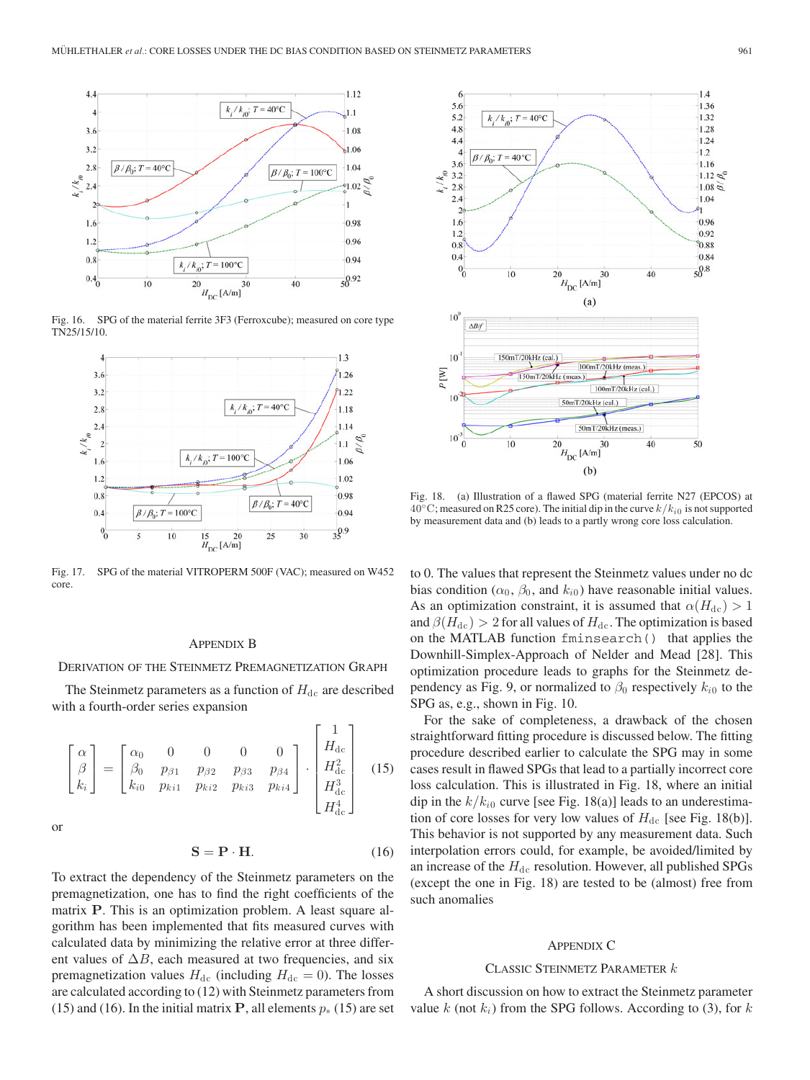

Fig. 16. SPG of the material ferrite 3F3 (Ferroxcube); measured on core type TN25/15/10.



Fig. 17. SPG of the material VITROPERM 500F (VAC); measured on W452 core.

#### APPENDIX B

#### DERIVATION OF THE STEINMETZ PREMAGNETIZATION GRAPH

The Steinmetz parameters as a function of  $H_{dc}$  are described with a fourth-order series expansion

$$
\begin{bmatrix} \alpha \\ \beta \\ k_i \end{bmatrix} = \begin{bmatrix} \alpha_0 & 0 & 0 & 0 & 0 \\ \beta_0 & p_{\beta 1} & p_{\beta 2} & p_{\beta 3} & p_{\beta 4} \\ k_{i0} & p_{k i 1} & p_{k i 2} & p_{k i 3} & p_{k i 4} \end{bmatrix} \cdot \begin{bmatrix} 1 \\ H_{\text{dc}} \\ H_{\text{dc}}^2 \\ H_{\text{dc}}^3 \\ H_{\text{dc}}^4 \\ H_{\text{dc}}^4 \end{bmatrix}
$$
(15)

or

$$
S = P \cdot H. \tag{16}
$$

 $\Gamma$ 

To extract the dependency of the Steinmetz parameters on the premagnetization, one has to find the right coefficients of the matrix **P**. This is an optimization problem. A least square algorithm has been implemented that fits measured curves with calculated data by minimizing the relative error at three different values of  $\Delta B$ , each measured at two frequencies, and six premagnetization values  $H_{dc}$  (including  $H_{dc} = 0$ ). The losses are calculated according to (12) with Steinmetz parameters from (15) and (16). In the initial matrix **P**, all elements  $p_*(15)$  are set



Fig. 18. (a) Illustration of a flawed SPG (material ferrite N27 (EPCOS) at  $40\textdegree$ C; measured on R25 core). The initial dip in the curve  $k/k_{i0}$  is not supported by measurement data and (b) leads to a partly wrong core loss calculation.

to 0. The values that represent the Steinmetz values under no dc bias condition ( $\alpha_0$ ,  $\beta_0$ , and  $k_{i0}$ ) have reasonable initial values. As an optimization constraint, it is assumed that  $\alpha(H_{\text{dc}}) > 1$ and  $\beta(H_{\text{dc}}) > 2$  for all values of  $H_{\text{dc}}$ . The optimization is based on the MATLAB function fminsearch() that applies the Downhill-Simplex-Approach of Nelder and Mead [28]. This optimization procedure leads to graphs for the Steinmetz dependency as Fig. 9, or normalized to  $\beta_0$  respectively  $k_{i0}$  to the SPG as, e.g., shown in Fig. 10.

For the sake of completeness, a drawback of the chosen straightforward fitting procedure is discussed below. The fitting procedure described earlier to calculate the SPG may in some cases result in flawed SPGs that lead to a partially incorrect core loss calculation. This is illustrated in Fig. 18, where an initial dip in the  $k/k_{i0}$  curve [see Fig. 18(a)] leads to an underestimation of core losses for very low values of  $H_{dc}$  [see Fig. 18(b)]. This behavior is not supported by any measurement data. Such interpolation errors could, for example, be avoided/limited by an increase of the  $H_{dc}$  resolution. However, all published SPGs (except the one in Fig. 18) are tested to be (almost) free from such anomalies

#### APPENDIX C

#### CLASSIC STEINMETZ PARAMETER  $k$

A short discussion on how to extract the Steinmetz parameter value k (not  $k_i$ ) from the SPG follows. According to (3), for k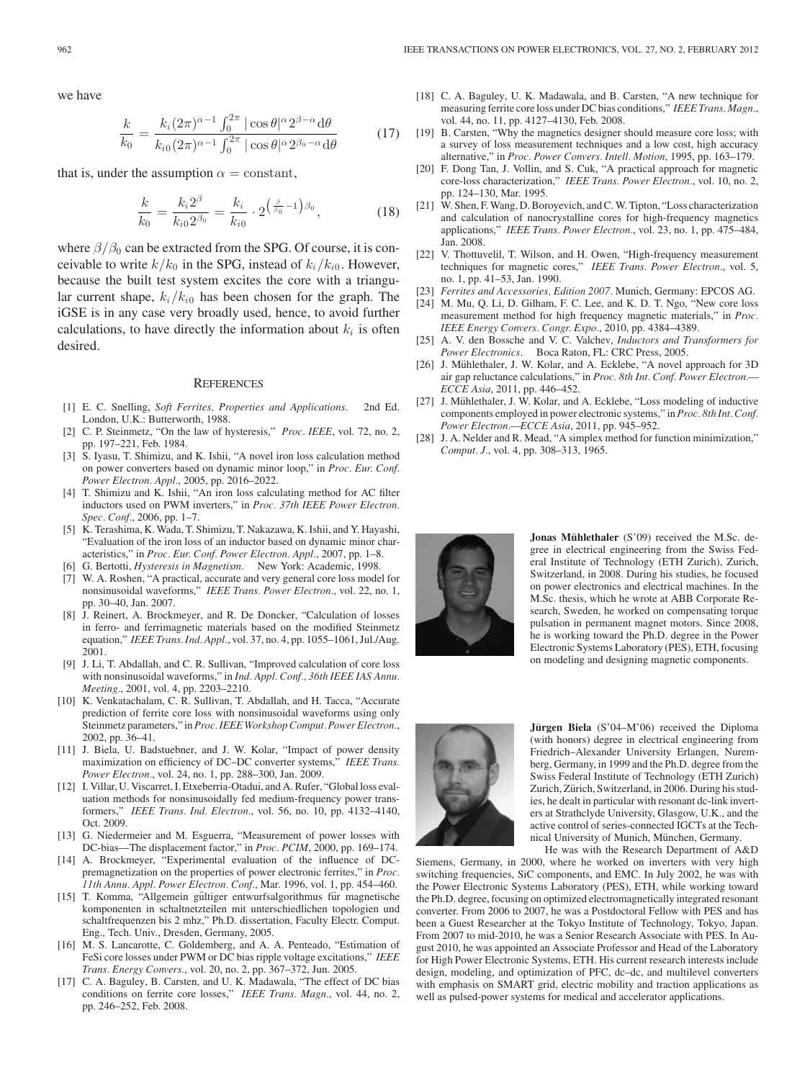we have

$$
\frac{k}{k_0} = \frac{k_i (2\pi)^{\alpha - 1} \int_0^{2\pi} |\cos \theta|^{\alpha} 2^{\beta - \alpha} d\theta}{k_{i0} (2\pi)^{\alpha - 1} \int_0^{2\pi} |\cos \theta|^{\alpha} 2^{\beta_0 - \alpha} d\theta}
$$
(17)

that is, under the assumption  $\alpha = constant$ ,

$$
\frac{k}{k_0} = \frac{k_i 2^{\beta}}{k_{i0} 2^{\beta_0}} = \frac{k_i}{k_{i0}} \cdot 2^{\left(\frac{\beta}{\beta_0} - 1\right)\beta_0},\tag{18}
$$

where  $\beta/\beta_0$  can be extracted from the SPG. Of course, it is conceivable to write  $k/k_0$  in the SPG, instead of  $k_i/k_{i0}$ . However, because the built test system excites the core with a triangular current shape,  $k_i/k_{i0}$  has been chosen for the graph. The iGSE is in any case very broadly used, hence, to avoid further calculations, to have directly the information about  $k_i$  is often desired.

#### **REFERENCES**

- [1] E. C. Snelling, *Soft Ferrites, Properties and Applications*. 2nd Ed. London, U.K.: Butterworth, 1988.
- [2] C. P. Steinmetz, "On the law of hysteresis," *Proc. IEEE*, vol. 72, no. 2, pp. 197–221, Feb. 1984.
- [3] S. Iyasu, T. Shimizu, and K. Ishii, "A novel iron loss calculation method on power converters based on dynamic minor loop," in *Proc. Eur. Conf. Power Electron. Appl.*, 2005, pp. 2016–2022.
- [4] T. Shimizu and K. Ishii, "An iron loss calculating method for AC filter inductors used on PWM inverters," in *Proc. 37th IEEE Power Electron. Spec. Conf.*, 2006, pp. 1–7.
- [5] K. Terashima, K. Wada, T. Shimizu, T. Nakazawa, K. Ishii, and Y. Hayashi, "Evaluation of the iron loss of an inductor based on dynamic minor characteristics," in *Proc. Eur. Conf. Power Electron. Appl.*, 2007, pp. 1–8.
- [6] G. Bertotti, *Hysteresis in Magnetism*. New York: Academic, 1998.
- [7] W. A. Roshen, "A practical, accurate and very general core loss model for nonsinusoidal waveforms," *IEEE Trans. Power Electron.*, vol. 22, no. 1, pp. 30–40, Jan. 2007.
- [8] J. Reinert, A. Brockmeyer, and R. De Doncker, "Calculation of losses in ferro- and ferrimagnetic materials based on the modified Steinmetz equation," *IEEE Trans. Ind. Appl.*, vol. 37, no. 4, pp. 1055–1061, Jul./Aug. 2001.
- [9] J. Li, T. Abdallah, and C. R. Sullivan, "Improved calculation of core loss with nonsinusoidal waveforms," in *Ind. Appl. Conf., 36th IEEE IAS Annu. Meeting.*, 2001, vol. 4, pp. 2203–2210.
- [10] K. Venkatachalam, C. R. Sullivan, T. Abdallah, and H. Tacca, "Accurate prediction of ferrite core loss with nonsinusoidal waveforms using only Steinmetz parameters," in *Proc. IEEE Workshop Comput. Power Electron.*, 2002, pp. 36–41.
- [11] J. Biela, U. Badstuebner, and J. W. Kolar, "Impact of power density maximization on efficiency of DC–DC converter systems," *IEEE Trans. Power Electron.*, vol. 24, no. 1, pp. 288–300, Jan. 2009.
- [12] I. Villar, U. Viscarret, I. Etxeberria-Otadui, and A. Rufer, "Global loss evaluation methods for nonsinusoidally fed medium-frequency power transformers," *IEEE Trans. Ind. Electron.*, vol. 56, no. 10, pp. 4132–4140, Oct. 2009.
- [13] G. Niedermeier and M. Esguerra, "Measurement of power losses with DC-bias—The displacement factor," in *Proc. PCIM*, 2000, pp. 169–174.
- [14] A. Brockmeyer, "Experimental evaluation of the influence of DCpremagnetization on the properties of power electronic ferrites," in *Proc. 11th Annu. Appl. Power Electron. Conf.*, Mar. 1996, vol. 1, pp. 454–460.
- [15] T. Komma, "Allgemein gültiger entwurfsalgorithmus für magnetische komponenten in schaltnetzteilen mit unterschiedlichen topologien und schaltfrequenzen bis 2 mhz," Ph.D. dissertation, Faculty Electr. Comput. Eng., Tech. Univ., Dresden, Germany, 2005.
- [16] M. S. Lancarotte, C. Goldemberg, and A. A. Penteado, "Estimation of FeSi core losses under PWM or DC bias ripple voltage excitations," *IEEE Trans. Energy Convers.*, vol. 20, no. 2, pp. 367–372, Jun. 2005.
- [17] C. A. Baguley, B. Carsten, and U. K. Madawala, "The effect of DC bias conditions on ferrite core losses," *IEEE Trans. Magn.*, vol. 44, no. 2, pp. 246–252, Feb. 2008.
- [18] C. A. Baguley, U. K. Madawala, and B. Carsten, "A new technique for measuring ferrite core loss under DC bias conditions," *IEEE Trans. Magn.*, vol. 44, no. 11, pp. 4127–4130, Feb. 2008.
- [19] B. Carsten, "Why the magnetics designer should measure core loss; with a survey of loss measurement techniques and a low cost, high accuracy alternative," in *Proc. Power Convers. Intell. Motion*, 1995, pp. 163–179.
- [20] F. Dong Tan, J. Vollin, and S. Cuk, "A practical approach for magnetic core-loss characterization," *IEEE Trans. Power Electron.*, vol. 10, no. 2, pp. 124–130, Mar. 1995.
- [21] W. Shen, F. Wang, D. Boroyevich, and C. W. Tipton, "Loss characterization and calculation of nanocrystalline cores for high-frequency magnetics applications," *IEEE Trans. Power Electron.*, vol. 23, no. 1, pp. 475–484, Jan. 2008.
- [22] V. Thottuvelil, T. Wilson, and H. Owen, "High-frequency measurement techniques for magnetic cores," *IEEE Trans. Power Electron.*, vol. 5, no. 1, pp. 41–53, Jan. 1990.
- [23] *Ferrites and Accessories, Edition 2007.* Munich, Germany: EPCOS AG.
- [24] M. Mu, Q. Li, D. Gilham, F. C. Lee, and K. D. T. Ngo, "New core loss measurement method for high frequency magnetic materials," in *Proc. IEEE Energy Convers. Congr. Expo.*, 2010, pp. 4384–4389.
- [25] A. V. den Bossche and V. C. Valchev, *Inductors and Transformers for Power Electronics*. Boca Raton, FL: CRC Press, 2005.
- [26] J. Mühlethaler, J. W. Kolar, and A. Ecklebe, "A novel approach for 3D air gap reluctance calculations," in *Proc. 8th Int. Conf. Power Electron.— ECCE Asia*, 2011, pp. 446–452.
- [27] J. Mühlethaler, J. W. Kolar, and A. Ecklebe, "Loss modeling of inductive components employed in power electronic systems," in *Proc. 8th Int. Conf. Power Electron.—ECCE Asia*, 2011, pp. 945–952.
- [28] J. A. Nelder and R. Mead, "A simplex method for function minimization," *Comput. J.*, vol. 4, pp. 308–313, 1965.



**Jonas Mühlethaler** (S'09) received the M.Sc. degree in electrical engineering from the Swiss Federal Institute of Technology (ETH Zurich), Zurich, Switzerland, in 2008. During his studies, he focused on power electronics and electrical machines. In the M.Sc. thesis, which he wrote at ABB Corporate Research, Sweden, he worked on compensating torque pulsation in permanent magnet motors. Since 2008, he is working toward the Ph.D. degree in the Power Electronic Systems Laboratory (PES), ETH, focusing on modeling and designing magnetic components.



**Jürgen Biela** (S'04–M'06) received the Diploma (with honors) degree in electrical engineering from Friedrich–Alexander University Erlangen, Nuremberg, Germany, in 1999 and the Ph.D. degree from the Swiss Federal Institute of Technology (ETH Zurich) Zurich, Zürich, Switzerland, in 2006. During his studies, he dealt in particular with resonant dc-link inverters at Strathclyde University, Glasgow, U.K., and the active control of series-connected IGCTs at the Technical University of Munich, München, Germany.

He was with the Research Department of A&D Siemens, Germany, in 2000, where he worked on inverters with very high switching frequencies, SiC components, and EMC. In July 2002, he was with the Power Electronic Systems Laboratory (PES), ETH, while working toward the Ph.D. degree, focusing on optimized electromagnetically integrated resonant converter. From 2006 to 2007, he was a Postdoctoral Fellow with PES and has been a Guest Researcher at the Tokyo Institute of Technology, Tokyo, Japan. From 2007 to mid-2010, he was a Senior Research Associate with PES. In August 2010, he was appointed an Associate Professor and Head of the Laboratory for High Power Electronic Systems, ETH. His current research interests include design, modeling, and optimization of PFC, dc–dc, and multilevel converters with emphasis on SMART grid, electric mobility and traction applications as well as pulsed-power systems for medical and accelerator applications.